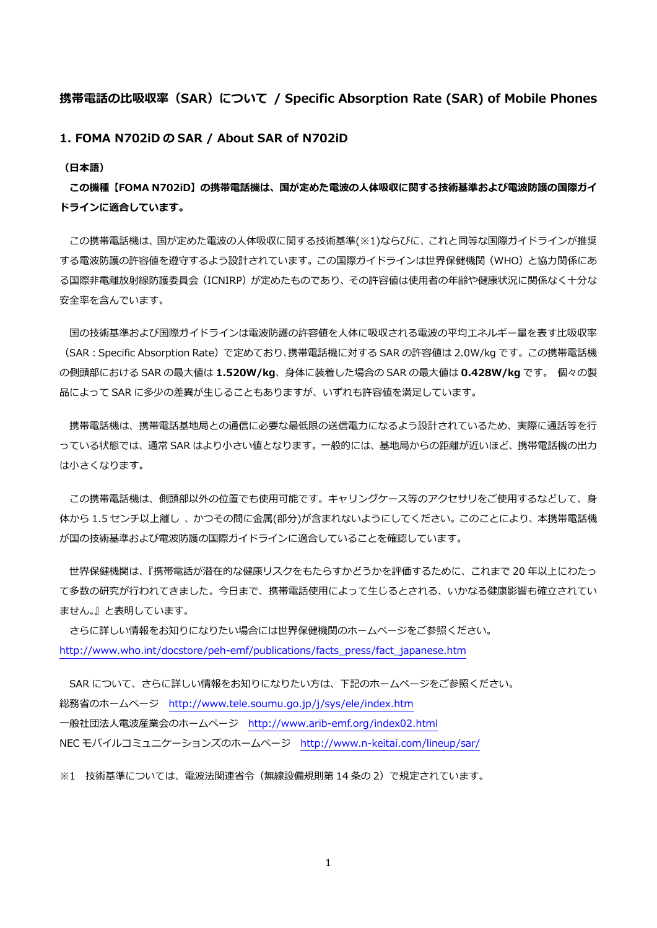## **携帯電話の⽐吸収率(SAR)について / Specific Absorption Rate (SAR) of Mobile Phones**

## **1. FOMA N702iD の SAR / About SAR of N702iD**

## **(⽇本語)**

**この機種【FOMA N702iD】の携帯電話機は、国が定めた電波の⼈体吸収に関する技術基準および電波防護の国際ガイ ドラインに適合しています。** 

この携帯電話機は、国が定めた電波の人体吸収に関する技術基準(※1)ならびに、これと同等な国際ガイドラインが推奨 する電波防護の許容値を遵守するよう設計されています。この国際ガイドラインは世界保健機関(WHO)と協⼒関係にあ る国際非電離放射線防護委員会(ICNIRP)が定めたものであり、その許容値は使用者の年齢や健康状況に関係なく十分な 安全率を含んでいます。

国の技術基準および国際ガイドラインは電波防護の許容値を人体に吸収される電波の平均エネルギー量を表す比吸収率 (SAR:Specific Absorption Rate)で定めており、携帯電話機に対する SAR の許容値は 2.0W/kg です。この携帯電話機 の側頭部における SAR の最⼤値は **1.520W/kg**、⾝体に装着した場合の SAR の最⼤値は **0.428W/kg** です。 個々の製 品によって SAR に多少の差異が生じることもありますが、いずれも許容値を満足しています。

携帯電話機は、携帯電話基地局との通信に必要な最低限の送信電力になるよう設計されているため、実際に通話等を行 っている状態では、通常 SAR はより小さい値となります。一般的には、基地局からの距離が近いほど、携帯電話機の出力 は⼩さくなります。

この携帯電話機は、側頭部以外の位置でも使用可能です。キャリングケース等のアクセサリをご使用するなどして、身 体から 1.5 センチ以上離し、かつその間に金属(部分)が含まれないようにしてください。このことにより、本携帯電話機 が国の技術基準および電波防護の国際ガイドラインに適合していることを確認しています。

 世界保健機関は、『携帯電話が潜在的な健康リスクをもたらすかどうかを評価するために、これまで 20 年以上にわたっ て多数の研究が行われてきました。今日まで、携帯電話使用によって生じるとされる、いかなる健康影響も確立されてい ません。』と表明しています。

 さらに詳しい情報をお知りになりたい場合には世界保健機関のホームページをご参照ください。 http://www.who.int/docstore/peh-emf/publications/facts\_press/fact\_japanese.htm

SAR について、さらに詳しい情報をお知りになりたい方は、下記のホームページをご参照ください。 総務省のホームページ http://www.tele.soumu.go.jp/j/sys/ele/index.htm ⼀般社団法⼈電波産業会のホームページ http://www.arib-emf.org/index02.html NEC モバイルコミュニケーションズのホームページ http://www.n-keitai.com/lineup/sar/

※1 技術基準については、電波法関連省令(無線設備規則第 14 条の 2)で規定されています。